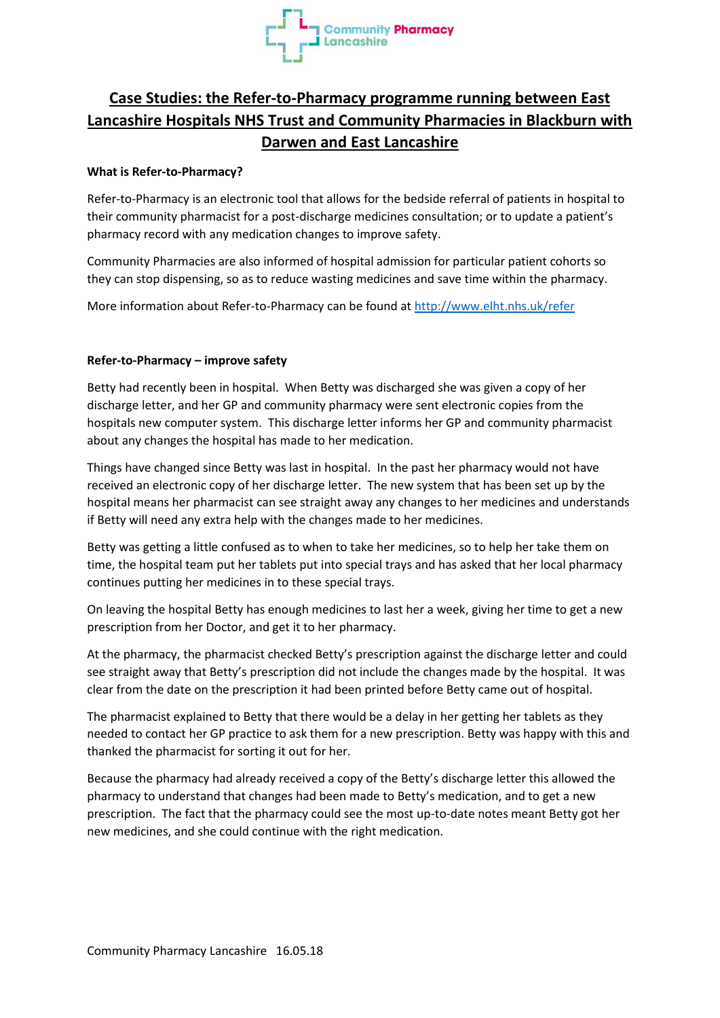

## **Case Studies: the Refer-to-Pharmacy programme running between East Lancashire Hospitals NHS Trust and Community Pharmacies in Blackburn with Darwen and East Lancashire**

## **What is Refer-to-Pharmacy?**

Refer-to-Pharmacy is an electronic tool that allows for the bedside referral of patients in hospital to their community pharmacist for a post-discharge medicines consultation; or to update a patient's pharmacy record with any medication changes to improve safety.

Community Pharmacies are also informed of hospital admission for particular patient cohorts so they can stop dispensing, so as to reduce wasting medicines and save time within the pharmacy.

More information about Refer-to-Pharmacy can be found at<http://www.elht.nhs.uk/refer>

## **Refer-to-Pharmacy – improve safety**

Betty had recently been in hospital. When Betty was discharged she was given a copy of her discharge letter, and her GP and community pharmacy were sent electronic copies from the hospitals new computer system. This discharge letter informs her GP and community pharmacist about any changes the hospital has made to her medication.

Things have changed since Betty was last in hospital. In the past her pharmacy would not have received an electronic copy of her discharge letter. The new system that has been set up by the hospital means her pharmacist can see straight away any changes to her medicines and understands if Betty will need any extra help with the changes made to her medicines.

Betty was getting a little confused as to when to take her medicines, so to help her take them on time, the hospital team put her tablets put into special trays and has asked that her local pharmacy continues putting her medicines in to these special trays.

On leaving the hospital Betty has enough medicines to last her a week, giving her time to get a new prescription from her Doctor, and get it to her pharmacy.

At the pharmacy, the pharmacist checked Betty's prescription against the discharge letter and could see straight away that Betty's prescription did not include the changes made by the hospital. It was clear from the date on the prescription it had been printed before Betty came out of hospital.

The pharmacist explained to Betty that there would be a delay in her getting her tablets as they needed to contact her GP practice to ask them for a new prescription. Betty was happy with this and thanked the pharmacist for sorting it out for her.

Because the pharmacy had already received a copy of the Betty's discharge letter this allowed the pharmacy to understand that changes had been made to Betty's medication, and to get a new prescription. The fact that the pharmacy could see the most up-to-date notes meant Betty got her new medicines, and she could continue with the right medication.